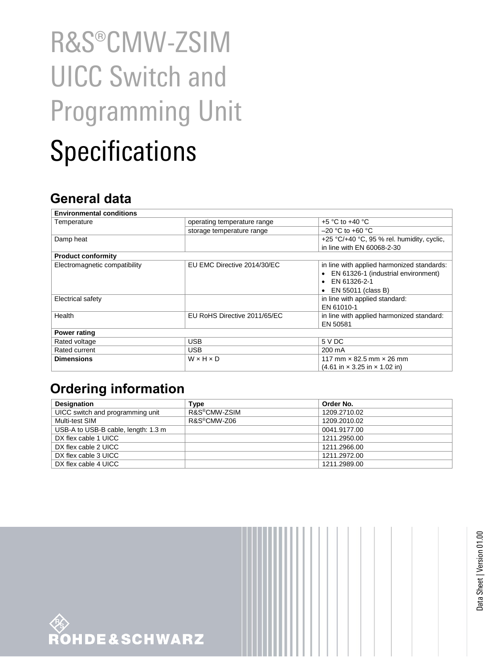## R&S®CMW-ZSIM UICC Switch and Programming Unit Specifications

## **General data**

| <b>Environmental conditions</b> |                              |                                                                   |  |
|---------------------------------|------------------------------|-------------------------------------------------------------------|--|
| Temperature                     | operating temperature range  | $+5$ °C to $+40$ °C                                               |  |
|                                 | storage temperature range    | $-20$ °C to +60 °C                                                |  |
| Damp heat                       |                              | +25 °C/+40 °C, 95 % rel. humidity, cyclic,                        |  |
|                                 |                              | in line with EN 60068-2-30                                        |  |
| <b>Product conformity</b>       |                              |                                                                   |  |
| Electromagnetic compatibility   | EU EMC Directive 2014/30/EC  | in line with applied harmonized standards:                        |  |
|                                 |                              | EN 61326-1 (industrial environment)                               |  |
|                                 |                              | EN 61326-2-1                                                      |  |
|                                 |                              | EN 55011 (class B)                                                |  |
| Electrical safety               |                              | in line with applied standard:                                    |  |
|                                 |                              | EN 61010-1                                                        |  |
| Health                          | EU RoHS Directive 2011/65/EC | in line with applied harmonized standard:                         |  |
|                                 |                              | EN 50581                                                          |  |
| Power rating                    |                              |                                                                   |  |
| Rated voltage                   | <b>USB</b>                   | 5 V DC                                                            |  |
| Rated current                   | USB                          | 200 mA                                                            |  |
| <b>Dimensions</b>               | WxHxD                        | 117 mm $\times$ 82.5 mm $\times$ 26 mm                            |  |
|                                 |                              | $(4.61 \text{ in} \times 3.25 \text{ in} \times 1.02 \text{ in})$ |  |

## **Ordering information**

| <b>Designation</b>                  | Type         | Order No.    |
|-------------------------------------|--------------|--------------|
| UICC switch and programming unit    | R&S®CMW-ZSIM | 1209.2710.02 |
| Multi-test SIM                      | R&S®CMW-Z06  | 1209.2010.02 |
| USB-A to USB-B cable, length: 1.3 m |              | 0041.9177.00 |
| DX flex cable 1 UICC                |              | 1211.2950.00 |
| DX flex cable 2 UICC                |              | 1211.2966.00 |
| DX flex cable 3 UICC                |              | 1211.2972.00 |
| DX flex cable 4 UICC                |              | 1211.2989.00 |